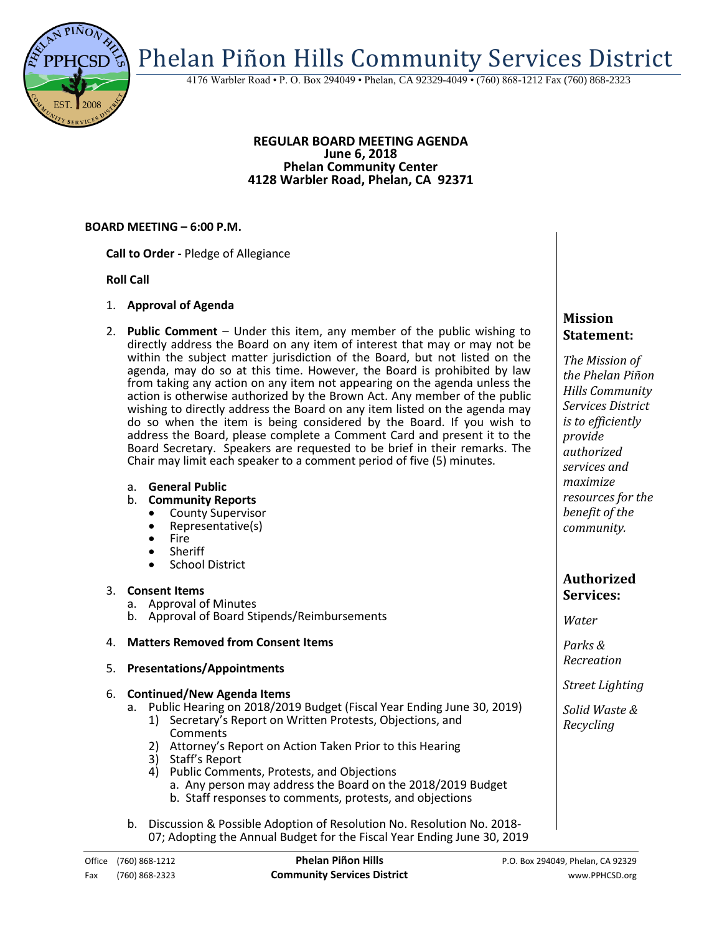Phelan Piñon Hills Community Services District

4176 Warbler Road • P. O. Box 294049 • Phelan, CA 92329-4049 • (760) 868-1212 Fax (760) 868-2323

#### **REGULAR BOARD MEETING AGENDA June 6, 2018 Phelan Community Center 4128 Warbler Road, Phelan, CA 92371**

## **BOARD MEETING – 6:00 P.M.**

**Call to Order -** Pledge of Allegiance

## **Roll Call**

- 1. **Approval of Agenda**
- 2. **Public Comment**  Under this item, any member of the public wishing to directly address the Board on any item of interest that may or may not be within the subject matter jurisdiction of the Board, but not listed on the agenda, may do so at this time. However, the Board is prohibited by law from taking any action on any item not appearing on the agenda unless the action is otherwise authorized by the Brown Act. Any member of the public wishing to directly address the Board on any item listed on the agenda may do so when the item is being considered by the Board. If you wish to address the Board, please complete a Comment Card and present it to the Board Secretary. Speakers are requested to be brief in their remarks. The Chair may limit each speaker to a comment period of five (5) minutes.

## a. **General Public**

- b. **Community Reports**
	- County Supervisor
	- Representative(s)
	- Fire
	- Sheriff
	- School District

## 3. **Consent Items**

- a. Approval of Minutes
- b. Approval of Board Stipends/Reimbursements

## 4. **Matters Removed from Consent Items**

5. **Presentations/Appointments**

#### 6. **Continued/New Agenda Items**

- a. Public Hearing on 2018/2019 Budget (Fiscal Year Ending June 30, 2019)
	- 1) Secretary's Report on Written Protests, Objections, and **Comments**
	- 2) Attorney's Report on Action Taken Prior to this Hearing
	- 3) Staff's Report
	- 4) Public Comments, Protests, and Objections
		- a. Any person may address the Board on the 2018/2019 Budget
		- b. Staff responses to comments, protests, and objections
- b. Discussion & Possible Adoption of Resolution No. Resolution No. 2018- 07; Adopting the Annual Budget for the Fiscal Year Ending June 30, 2019

# **Mission Statement:**

*The Mission of the Phelan Piñon Hills Community Services District is to efficiently provide authorized services and maximize resources for the benefit of the community.*

# **Authorized Services:**

*Water*

*Parks & Recreation*

*Street Lighting*

*Solid Waste & Recycling*